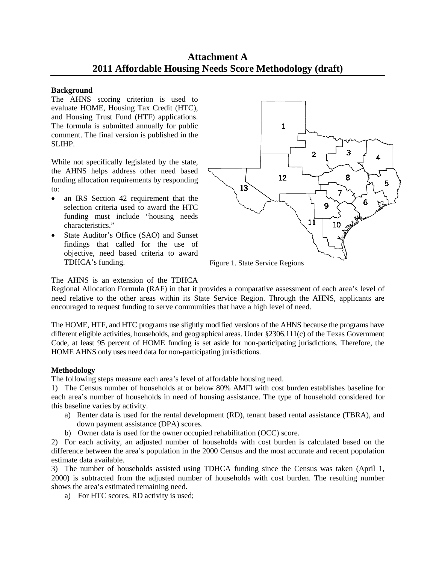# **Attachment A 2011 Affordable Housing Needs Score Methodology (draft)**

### **Background**

The AHNS scoring criterion is used to evaluate HOME, Housing Tax Credit (HTC), and Housing Trust Fund (HTF) applications. The formula is submitted annually for public comment. The final version is published in the SLIHP.

While not specifically legislated by the state, the AHNS helps address other need based funding allocation requirements by responding to:

- an IRS Section 42 requirement that the selection criteria used to award the HTC funding must include "housing needs characteristics."
- State Auditor's Office (SAO) and Sunset findings that called for the use of objective, need based criteria to award TDHCA's funding.



## The AHNS is an extension of the TDHCA

Regional Allocation Formula (RAF) in that it provides a comparative assessment of each area's level of need relative to the other areas within its State Service Region. Through the AHNS, applicants are encouraged to request funding to serve communities that have a high level of need.

The HOME, HTF, and HTC programs use slightly modified versions of the AHNS because the programs have different eligible activities, households, and geographical areas. Under §2306.111(c) of the Texas Government Code, at least 95 percent of HOME funding is set aside for non-participating jurisdictions. Therefore, the HOME AHNS only uses need data for non-participating jurisdictions.

# **Methodology**

The following steps measure each area's level of affordable housing need.

1) The Census number of households at or below 80% AMFI with cost burden establishes baseline for each area's number of households in need of housing assistance. The type of household considered for this baseline varies by activity.

- a) Renter data is used for the rental development (RD), tenant based rental assistance (TBRA), and down payment assistance (DPA) scores.
- b) Owner data is used for the owner occupied rehabilitation (OCC) score.

2) For each activity, an adjusted number of households with cost burden is calculated based on the difference between the area's population in the 2000 Census and the most accurate and recent population estimate data available.

3) The number of households assisted using TDHCA funding since the Census was taken (April 1, 2000) is subtracted from the adjusted number of households with cost burden. The resulting number shows the area's estimated remaining need.

a) For HTC scores, RD activity is used;